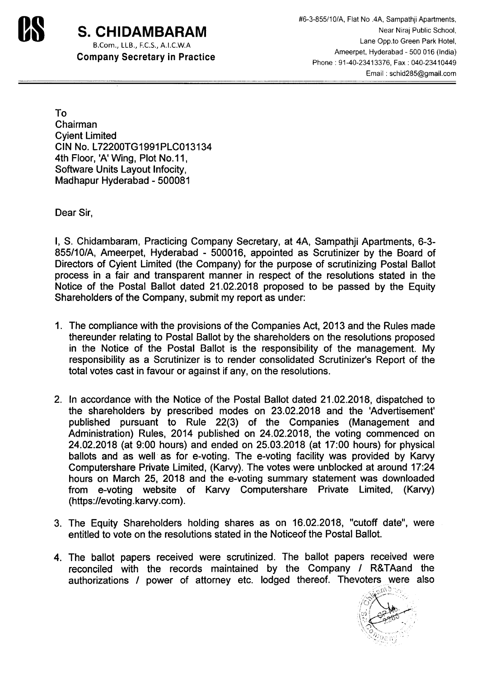

## B.Com., LLB., F.C.S., A.I.C.W.A

Company Secretary in Practice

**us** *#6-3-855/10/A,* Flat No .4A, Sampathji Apartments, **S. CHIDAMBARAM** Near Niraj Public School, Lane Opp.to Green Park Hotel, Ameerpet, Hyderabad - 500 016 (India) Phone: 91-40-23413376, Fax: 040-23410449 Email: schid285@gmail.com

To Chairman Cyient Limited CIN No. L72200TG1991PLC013134 4th Floor, 'A' Wing, Plot No.11, Software Units Layout Infocity, Madhapur Hyderabad - 500081

Dear Sir,

I, S. Chidambaram, Practicing Company Secretary, at 4A, Sampathji Apartments, 6-3- *855/10/A,* Ameerpet, Hyderabad - 500016, appointed as Scrutinizer by the Board of Directors of Cyient Limited (the Company) for the purpose of scrutinizing Postal Ballot process in a fair and transparent manner in respect of the resolutions stated in the Notice of the Postal Ballot dated 21.02.2018 proposed to be passed by the Equity Shareholders of the Company, submit my report as under:

- 1. The compliance with the provisions of the Companies Act, 2013 and the Rules made thereunder relating to Postal Ballot by the shareholders on the resolutions proposed in the Notice of the Postal Ballot is the responsibility of the management. My responsibility as a Scrutinizer is to render consolidated Scrutinizer's Report of the total votes cast in favour or against if any, on the resolutions.
- 2. In accordance with the Notice of the Postal Ballot dated 21.02.2018, dispatched to the shareholders by prescribed modes on 23.02.2018 and the 'Advertisement' published pursuant to Rule 22(3) of the Companies (Management and Administration) Rules, 2014 published on 24.02.2018, the voting commenced on 24.02.2018 (at 9:00 hours) and ended on 25.03.2018 (at 17:00 hours) for physical ballots and as well as for e-voting. The e-voting facility was provided by Karvy Computershare Private Limited, (Karvy). The votes were unblocked at around 17:24 hours on March 25, 2018 and the e-voting summary statement was downloaded from e-voting website of Karvy Computershare Private Limited, (Karvy) (https:/Ievoting.karvy.com).
- 3. The Equity Shareholders holding shares as on 16.02.2018, "cutoff date", were entitled to vote on the resolutions stated in the Noticeof the Postal Ballot.
- 4. The ballot papers received were scrutinized. The ballot papers received were reconciled with the records maintained by the Company *I* R&TAand the authorizations *I* power of attorney etc. lodged thereof. Thevoters were also

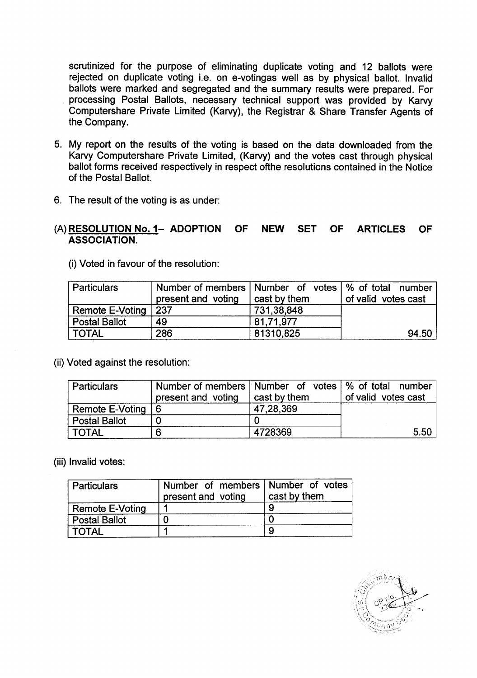scrutinized for the purpose of eliminating duplicate voting and 12 ballots were rejected on duplicate voting i.e. on e-votingas well as by physical ballot. Invalid ballots were marked and segregated and the summary results were prepared. For processing Postal Ballots, necessary technical support was provided by Karvy Computershare Private Limited (Karvy), the Registrar & Share Transfer Agents of the Company.

- 5. My report on the results of the voting is based on the data downloaded from the Karvy Computershare Private Limited, (Karvy) and the votes cast through physical ballot forms received respectively in respect ofthe resolutions contained in the Notice of the Postal Ballot.
- 6. The result of the voting is as under:

## (A) RESOLUTION No. 1- ADOPTION OF NEW SET OF ARTICLES OF ASSOCIATION.

(i) Voted in favour of the resolution:

| <b>Particulars</b>   | Number of members   Number of votes   % of total number<br>present and voting | cast by them | of valid votes cast |
|----------------------|-------------------------------------------------------------------------------|--------------|---------------------|
| Remote E-Voting 237  |                                                                               | 731,38,848   |                     |
| <b>Postal Ballot</b> | 49                                                                            | 81.71.977    |                     |
| <b>TOTAL</b>         | 286                                                                           | 81310,825    | 94.50               |

(ii) Voted against the resolution:

| <b>Particulars</b>   | Number of members   Number of votes   % of total number |              |                     |
|----------------------|---------------------------------------------------------|--------------|---------------------|
|                      | present and voting                                      | cast by them | of valid votes cast |
| Remote E-Voting $ 6$ |                                                         | 47,28,369    |                     |
| <b>Postal Ballot</b> |                                                         |              |                     |
| TOTAL                |                                                         | 4728369      | 5.50                |

(iii) Invalid votes:

| Particulars            | Number of members Number of votes<br>present and voting | cast by them |
|------------------------|---------------------------------------------------------|--------------|
| <b>Remote E-Voting</b> |                                                         |              |
| <b>Postal Ballot</b>   |                                                         |              |
| <b>TOTAL</b>           |                                                         |              |